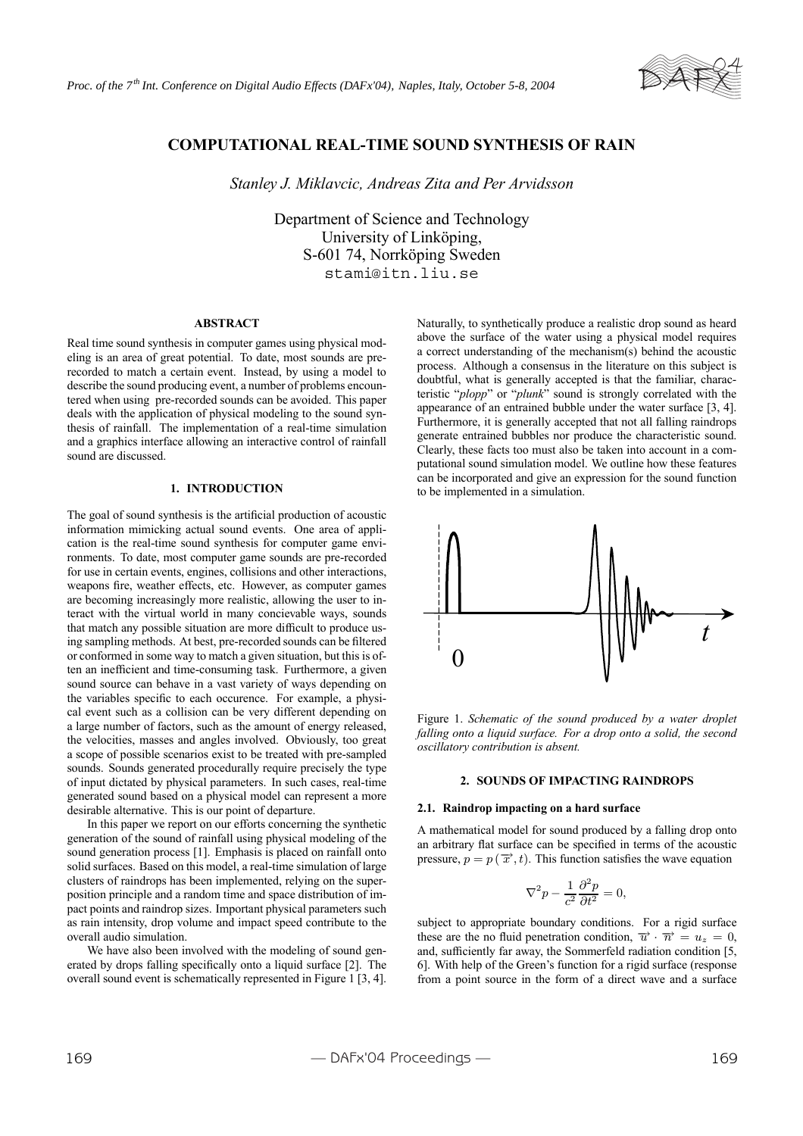

# **COMPUTATIONAL REAL-TIME SOUND SYNTHESIS OF RAIN**

*Stanley J. Miklavcic, Andreas Zita and Per Arvidsson*

Department of Science and Technology University of Linköping, S-601 74, Norrköping Sweden stami@itn.liu.se

## **ABSTRACT**

Real time sound synthesis in computer games using physical modeling is an area of great potential. To date, most sounds are prerecorded to match a certain event. Instead, by using a model to describe the sound producing event, a number of problems encountered when using pre-recorded sounds can be avoided. This paper deals with the application of physical modeling to the sound synthesis of rainfall. The implementation of a real-time simulation and a graphics interface allowing an interactive control of rainfall sound are discussed.

#### **1. INTRODUCTION**

The goal of sound synthesis is the artificial production of acoustic information mimicking actual sound events. One area of application is the real-time sound synthesis for computer game environments. To date, most computer game sounds are pre-recorded for use in certain events, engines, collisions and other interactions, weapons fire, weather effects, etc. However, as computer games are becoming increasingly more realistic, allowing the user to interact with the virtual world in many concievable ways, sounds that match any possible situation are more difficult to produce using sampling methods. At best, pre-recorded sounds can be filtered or conformed in some way to match a given situation, but this is often an inefficient and time-consuming task. Furthermore, a given sound source can behave in a vast variety of ways depending on the variables specific to each occurence. For example, a physical event such as a collision can be very different depending on a large number of factors, such as the amount of energy released, the velocities, masses and angles involved. Obviously, too great a scope of possible scenarios exist to be treated with pre-sampled sounds. Sounds generated procedurally require precisely the type of input dictated by physical parameters. In such cases, real-time generated sound based on a physical model can represent a more desirable alternative. This is our point of departure.

In this paper we report on our efforts concerning the synthetic generation of the sound of rainfall using physical modeling of the sound generation process [1]. Emphasis is placed on rainfall onto solid surfaces. Based on this model, a real-time simulation of large clusters of raindrops has been implemented, relying on the superposition principle and a random time and space distribution of impact points and raindrop sizes. Important physical parameters such as rain intensity, drop volume and impact speed contribute to the overall audio simulation.

We have also been involved with the modeling of sound generated by drops falling specifically onto a liquid surface [2]. The overall sound event is schematically represented in Figure 1 [3, 4]. Naturally, to synthetically produce a realistic drop sound as heard above the surface of the water using a physical model requires a correct understanding of the mechanism(s) behind the acoustic process. Although a consensus in the literature on this subject is doubtful, what is generally accepted is that the familiar, characteristic "*plopp*" or "*plunk*" sound is strongly correlated with the appearance of an entrained bubble under the water surface [3, 4]. Furthermore, it is generally accepted that not all falling raindrops generate entrained bubbles nor produce the characteristic sound. Clearly, these facts too must also be taken into account in a computational sound simulation model. We outline how these features can be incorporated and give an expression for the sound function to be implemented in a simulation.



Figure 1. *Schematic of the sound produced by a water droplet falling onto a liquid surface. For a drop onto a solid, the second oscillatory contribution is absent.*

#### **2. SOUNDS OF IMPACTING RAINDROPS**

#### **2.1. Raindrop impacting on a hard surface**

A mathematical model for sound produced by a falling drop onto an arbitrary flat surface can be specified in terms of the acoustic pressure,  $p = p(\vec{x}, t)$ . This function satisfies the wave equation

$$
\nabla^2 p - \frac{1}{c^2} \frac{\partial^2 p}{\partial t^2} = 0,
$$

subject to appropriate boundary conditions. For a rigid surface these are the no fluid penetration condition,  $\overrightarrow{u} \cdot \overrightarrow{n} = u_z = 0$ , and, sufficiently far away, the Sommerfeld radiation condition [5, 6]. With help of the Green's function for a rigid surface (response from a point source in the form of a direct wave and a surface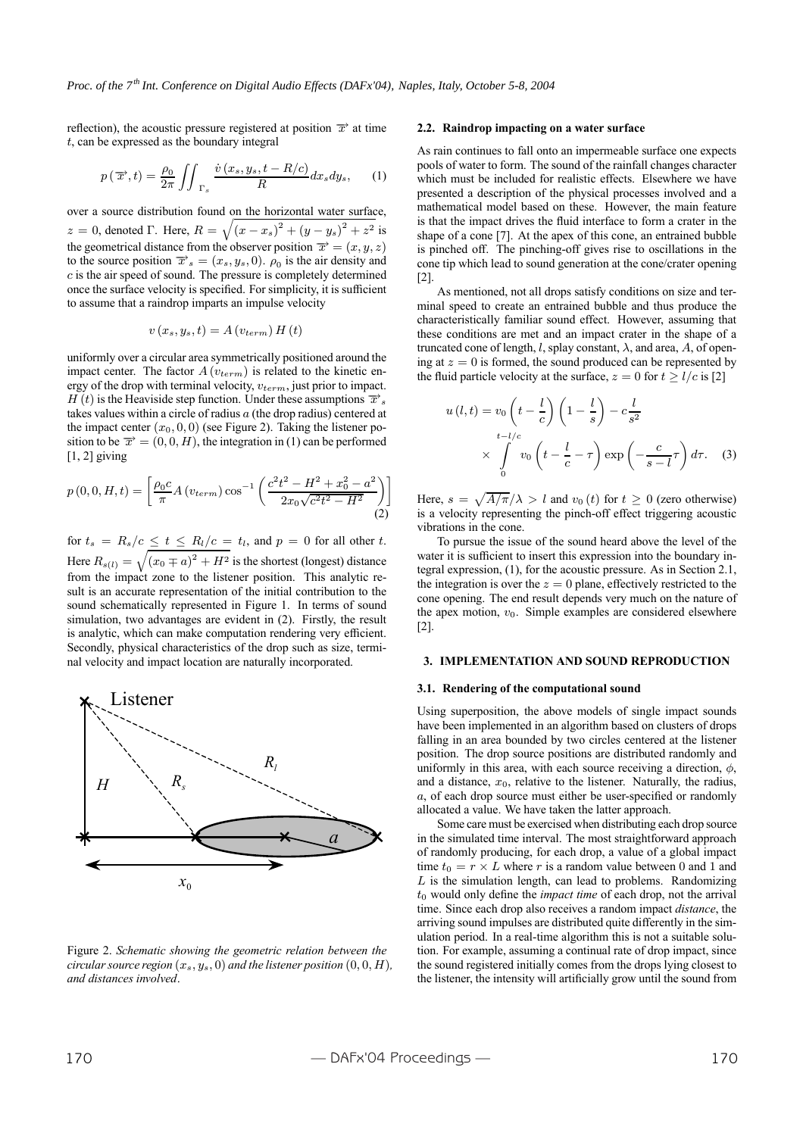reflection), the acoustic pressure registered at position  $\overrightarrow{x}$  at time  $t$ , can be expressed as the boundary integral

$$
p(\overrightarrow{x},t) = \frac{\rho_0}{2\pi} \iint_{\Gamma_s} \frac{\dot{v}(x_s, y_s, t - R/c)}{R} dx_s dy_s, \qquad (1)
$$

over a source distribution found on the horizontal water surface, z = 0, denoted Γ. Here,  $R = \sqrt{(x - x_s)^2 + (y - y_s)^2 + z^2}$  is the geometrical distance from the observer position  $\overrightarrow{x} = (x, y, z)$ to the source position  $\overrightarrow{x}_s = (x_s, y_s, 0)$ .  $\rho_0$  is the air density and c is the air speed of sound. The pressure is completely determined once the surface velocity is specified. For simplicity, it is sufficient to assume that a raindrop imparts an impulse velocity

$$
v(x_s, y_s, t) = A(v_{term}) H(t)
$$

uniformly over a circular area symmetrically positioned around the impact center. The factor  $A(v_{term})$  is related to the kinetic energy of the drop with terminal velocity,  $v_{term}$ , just prior to impact. H (t) is the Heaviside step function. Under these assumptions  $\overrightarrow{x}$  s takes values within a circle of radius a (the drop radius) centered at the impact center  $(x_0, 0, 0)$  (see Figure 2). Taking the listener position to be  $\overrightarrow{x} = (0, 0, H)$ , the integration in (1) can be performed  $[1, 2]$  giving

$$
p(0,0,H,t) = \left[\frac{\rho_0 c}{\pi} A(v_{term}) \cos^{-1} \left(\frac{c^2 t^2 - H^2 + x_0^2 - a^2}{2x_0 \sqrt{c^2 t^2 - H^2}}\right)\right]
$$
(2)

for  $t_s = R_s/c \leq t \leq R_l/c = t_l$ , and  $p = 0$  for all other t. Here  $R_{s(l)} = \sqrt{(x_0 \mp a)^2 + H^2}$  is the shortest (longest) distance from the impact zone to the listener position. This analytic result is an accurate representation of the initial contribution to the sound schematically represented in Figure 1. In terms of sound simulation, two advantages are evident in (2). Firstly, the result is analytic, which can make computation rendering very efficient. Secondly, physical characteristics of the drop such as size, terminal velocity and impact location are naturally incorporated.



Figure 2. *Schematic showing the geometric relation between the circular source region*  $(x_s, y_s, 0)$  *and the listener position*  $(0, 0, H)$ *, and distances involved*.

### **2.2. Raindrop impacting on a water surface**

As rain continues to fall onto an impermeable surface one expects pools of water to form. The sound of the rainfall changes character which must be included for realistic effects. Elsewhere we have presented a description of the physical processes involved and a mathematical model based on these. However, the main feature is that the impact drives the fluid interface to form a crater in the shape of a cone [7]. At the apex of this cone, an entrained bubble is pinched off. The pinching-off gives rise to oscillations in the cone tip which lead to sound generation at the cone/crater opening [2].

As mentioned, not all drops satisfy conditions on size and terminal speed to create an entrained bubble and thus produce the characteristically familiar sound effect. However, assuming that these conditions are met and an impact crater in the shape of a truncated cone of length,  $l$ , splay constant,  $\lambda$ , and area,  $A$ , of opening at  $z = 0$  is formed, the sound produced can be represented by the fluid particle velocity at the surface,  $z = 0$  for  $t \ge l/c$  is [2]

$$
u(l,t) = v_0 \left( t - \frac{l}{c} \right) \left( 1 - \frac{l}{s} \right) - c \frac{l}{s^2}
$$
  
 
$$
\times \int_{0}^{t-l/c} v_0 \left( t - \frac{l}{c} - \tau \right) \exp\left( -\frac{c}{s-l} \tau \right) d\tau. \quad (3)
$$

Here,  $s = \sqrt{A/\pi}/\lambda > l$  and  $v_0 (t)$  for  $t \ge 0$  (zero otherwise) is a velocity representing the pinch-off effect triggering acoustic vibrations in the cone.

To pursue the issue of the sound heard above the level of the water it is sufficient to insert this expression into the boundary integral expression, (1), for the acoustic pressure. As in Section 2.1, the integration is over the  $z = 0$  plane, effectively restricted to the cone opening. The end result depends very much on the nature of the apex motion,  $v_0$ . Simple examples are considered elsewhere [2].

#### **3. IMPLEMENTATION AND SOUND REPRODUCTION**

#### **3.1. Rendering of the computational sound**

Using superposition, the above models of single impact sounds have been implemented in an algorithm based on clusters of drops falling in an area bounded by two circles centered at the listener position. The drop source positions are distributed randomly and uniformly in this area, with each source receiving a direction,  $\phi$ , and a distance,  $x_0$ , relative to the listener. Naturally, the radius, a, of each drop source must either be user-specified or randomly allocated a value. We have taken the latter approach.

Some care must be exercised when distributing each drop source in the simulated time interval. The most straightforward approach of randomly producing, for each drop, a value of a global impact time  $t_0 = r \times L$  where r is a random value between 0 and 1 and  $L$  is the simulation length, can lead to problems. Randomizing  $t<sub>0</sub>$  would only define the *impact time* of each drop, not the arrival time. Since each drop also receives a random impact *distance*, the arriving sound impulses are distributed quite differently in the simulation period. In a real-time algorithm this is not a suitable solution. For example, assuming a continual rate of drop impact, since the sound registered initially comes from the drops lying closest to the listener, the intensity will artificially grow until the sound from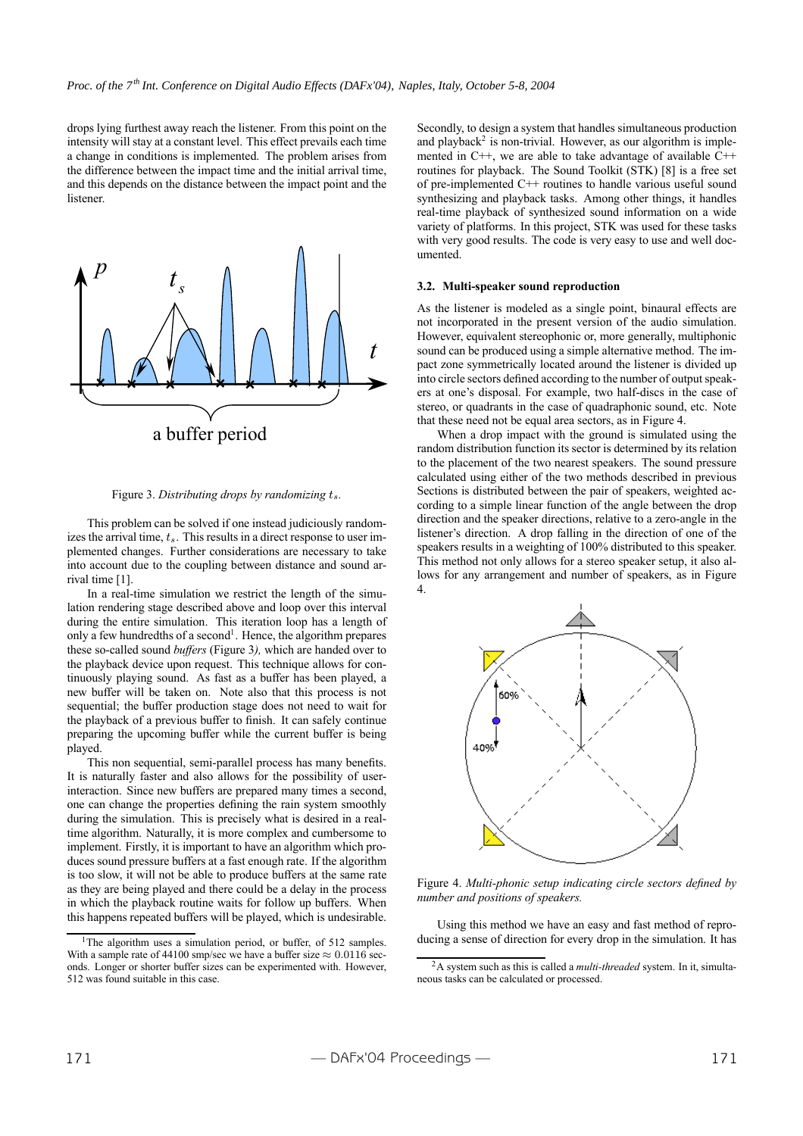drops lying furthest away reach the listener. From this point on the intensity will stay at a constant level. This effect prevails each time a change in conditions is implemented. The problem arises from the difference between the impact time and the initial arrival time, and this depends on the distance between the impact point and the listener.





This problem can be solved if one instead judiciously randomizes the arrival time,  $t_s$ . This results in a direct response to user implemented changes. Further considerations are necessary to take into account due to the coupling between distance and sound arrival time [1].

In a real-time simulation we restrict the length of the simulation rendering stage described above and loop over this interval during the entire simulation. This iteration loop has a length of only a few hundredths of a second<sup>1</sup>. Hence, the algorithm prepares these so-called sound *buffers* (Figure 3*),* which are handed over to the playback device upon request. This technique allows for continuously playing sound. As fast as a buffer has been played, a new buffer will be taken on. Note also that this process is not sequential; the buffer production stage does not need to wait for the playback of a previous buffer to finish. It can safely continue preparing the upcoming buffer while the current buffer is being played.

This non sequential, semi-parallel process has many benefits. It is naturally faster and also allows for the possibility of userinteraction. Since new buffers are prepared many times a second, one can change the properties defining the rain system smoothly during the simulation. This is precisely what is desired in a realtime algorithm. Naturally, it is more complex and cumbersome to implement. Firstly, it is important to have an algorithm which produces sound pressure buffers at a fast enough rate. If the algorithm is too slow, it will not be able to produce buffers at the same rate as they are being played and there could be a delay in the process in which the playback routine waits for follow up buffers. When this happens repeated buffers will be played, which is undesirable.

Secondly, to design a system that handles simultaneous production and playback<sup>2</sup> is non-trivial. However, as our algorithm is implemented in  $C^{++}$ , we are able to take advantage of available  $\tilde{C}^{++}$ routines for playback. The Sound Toolkit (STK) [8] is a free set of pre-implemented C++ routines to handle various useful sound synthesizing and playback tasks. Among other things, it handles real-time playback of synthesized sound information on a wide variety of platforms. In this project, STK was used for these tasks with very good results. The code is very easy to use and well documented.

#### **3.2. Multi-speaker sound reproduction**

As the listener is modeled as a single point, binaural effects are not incorporated in the present version of the audio simulation. However, equivalent stereophonic or, more generally, multiphonic sound can be produced using a simple alternative method. The impact zone symmetrically located around the listener is divided up into circle sectors defined according to the number of output speakers at one's disposal. For example, two half-discs in the case of stereo, or quadrants in the case of quadraphonic sound, etc. Note that these need not be equal area sectors, as in Figure 4.

When a drop impact with the ground is simulated using the random distribution function its sector is determined by its relation to the placement of the two nearest speakers. The sound pressure calculated using either of the two methods described in previous Sections is distributed between the pair of speakers, weighted according to a simple linear function of the angle between the drop direction and the speaker directions, relative to a zero-angle in the listener's direction. A drop falling in the direction of one of the speakers results in a weighting of 100% distributed to this speaker. This method not only allows for a stereo speaker setup, it also allows for any arrangement and number of speakers, as in Figure 4.



Figure 4. *Multi-phonic setup indicating circle sectors defined by number and positions of speakers.*

Using this method we have an easy and fast method of reproducing a sense of direction for every drop in the simulation. It has

<sup>&</sup>lt;sup>1</sup>The algorithm uses a simulation period, or buffer, of 512 samples. With a sample rate of 44100 smp/sec we have a buffer size  $\approx 0.0116$  seconds. Longer or shorter buffer sizes can be experimented with. However, 512 was found suitable in this case.

<sup>2</sup>A system such as this is called a *multi-threaded* system. In it, simultaneous tasks can be calculated or processed.